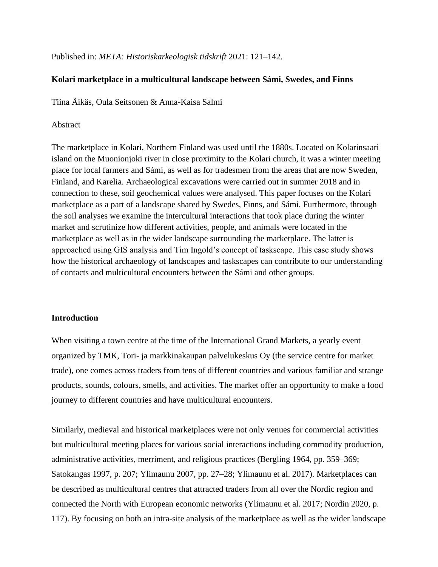Published in: *META: Historiskarkeologisk tidskrift* 2021: 121-142.

# **Kolari marketplace in a multicultural landscape between Sámi, Swedes, and Finns**

Tiina Äikäs, Oula Seitsonen & Anna-Kaisa Salmi

# Abstract

The marketplace in Kolari, Northern Finland was used until the 1880s. Located on Kolarinsaari island on the Muonionjoki river in close proximity to the Kolari church, it was a winter meeting place for local farmers and Sámi, as well as for tradesmen from the areas that are now Sweden, Finland, and Karelia. Archaeological excavations were carried out in summer 2018 and in connection to these, soil geochemical values were analysed. This paper focuses on the Kolari marketplace as a part of a landscape shared by Swedes, Finns, and Sámi. Furthermore, through the soil analyses we examine the intercultural interactions that took place during the winter market and scrutinize how different activities, people, and animals were located in the marketplace as well as in the wider landscape surrounding the marketplace. The latter is approached using GIS analysis and Tim Ingold's concept of taskscape. This case study shows how the historical archaeology of landscapes and taskscapes can contribute to our understanding of contacts and multicultural encounters between the Sámi and other groups.

## **Introduction**

When visiting a town centre at the time of the International Grand Markets, a yearly event organized by TMK, Tori- ja markkinakaupan palvelukeskus Oy (the service centre for market trade), one comes across traders from tens of different countries and various familiar and strange products, sounds, colours, smells, and activities. The market offer an opportunity to make a food journey to different countries and have multicultural encounters.

Similarly, medieval and historical marketplaces were not only venues for commercial activities but multicultural meeting places for various social interactions including commodity production, administrative activities, merriment, and religious practices (Bergling 1964, pp. 359–369; Satokangas 1997, p. 207; Ylimaunu 2007, pp. 27–28; Ylimaunu et al. 2017). Marketplaces can be described as multicultural centres that attracted traders from all over the Nordic region and connected the North with European economic networks (Ylimaunu et al. 2017; Nordin 2020, p. 117). By focusing on both an intra-site analysis of the marketplace as well as the wider landscape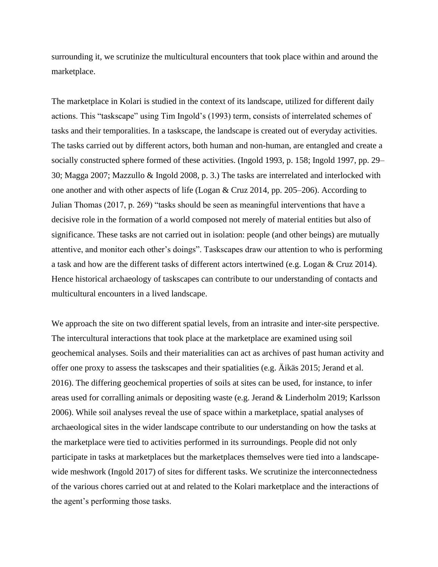surrounding it, we scrutinize the multicultural encounters that took place within and around the marketplace.

The marketplace in Kolari is studied in the context of its landscape, utilized for different daily actions. This "taskscape" using Tim Ingold's (1993) term, consists of interrelated schemes of tasks and their temporalities. In a taskscape, the landscape is created out of everyday activities. The tasks carried out by different actors, both human and non-human, are entangled and create a socially constructed sphere formed of these activities. (Ingold 1993, p. 158; Ingold 1997, pp. 29– 30; Magga 2007; Mazzullo & Ingold 2008, p. 3.) The tasks are interrelated and interlocked with one another and with other aspects of life (Logan & Cruz 2014, pp. 205–206). According to Julian Thomas (2017, p. 269) "tasks should be seen as meaningful interventions that have a decisive role in the formation of a world composed not merely of material entities but also of significance. These tasks are not carried out in isolation: people (and other beings) are mutually attentive, and monitor each other's doings". Taskscapes draw our attention to who is performing a task and how are the different tasks of different actors intertwined (e.g. Logan & Cruz 2014). Hence historical archaeology of taskscapes can contribute to our understanding of contacts and multicultural encounters in a lived landscape.

We approach the site on two different spatial levels, from an intrasite and inter-site perspective. The intercultural interactions that took place at the marketplace are examined using soil geochemical analyses. Soils and their materialities can act as archives of past human activity and offer one proxy to assess the taskscapes and their spatialities (e.g. Äikäs 2015; Jerand et al. 2016). The differing geochemical properties of soils at sites can be used, for instance, to infer areas used for corralling animals or depositing waste (e.g. Jerand & Linderholm 2019; Karlsson 2006). While soil analyses reveal the use of space within a marketplace, spatial analyses of archaeological sites in the wider landscape contribute to our understanding on how the tasks at the marketplace were tied to activities performed in its surroundings. People did not only participate in tasks at marketplaces but the marketplaces themselves were tied into a landscapewide meshwork (Ingold 2017) of sites for different tasks. We scrutinize the interconnectedness of the various chores carried out at and related to the Kolari marketplace and the interactions of the agent's performing those tasks.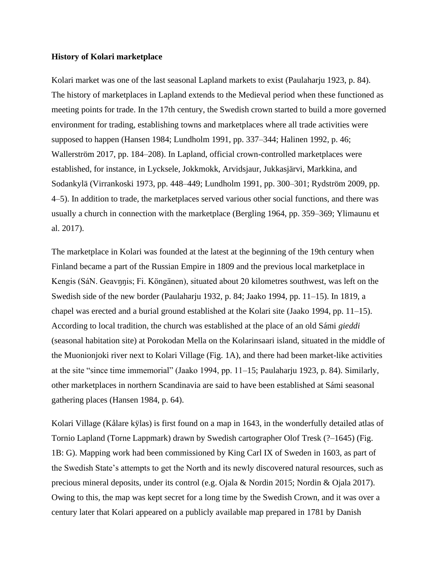# **History of Kolari marketplace**

Kolari market was one of the last seasonal Lapland markets to exist (Paulaharju 1923, p. 84). The history of marketplaces in Lapland extends to the Medieval period when these functioned as meeting points for trade. In the 17th century, the Swedish crown started to build a more governed environment for trading, establishing towns and marketplaces where all trade activities were supposed to happen (Hansen 1984; Lundholm 1991, pp. 337–344; Halinen 1992, p. 46; Wallerström 2017, pp. 184–208). In Lapland, official crown-controlled marketplaces were established, for instance, in Lycksele, Jokkmokk, Arvidsjaur, Jukkasjärvi, Markkina, and Sodankylä (Virrankoski 1973, pp. 448–449; Lundholm 1991, pp. 300–301; Rydström 2009, pp. 4–5). In addition to trade, the marketplaces served various other social functions, and there was usually a church in connection with the marketplace (Bergling 1964, pp. 359–369; Ylimaunu et al. 2017).

The marketplace in Kolari was founded at the latest at the beginning of the 19th century when Finland became a part of the Russian Empire in 1809 and the previous local marketplace in Kengis (SáN. Geavŋŋis; Fi. Köngänen), situated about 20 kilometres southwest, was left on the Swedish side of the new border (Paulaharju 1932, p. 84; Jaako 1994, pp. 11–15). In 1819, a chapel was erected and a burial ground established at the Kolari site (Jaako 1994, pp. 11–15). According to local tradition, the church was established at the place of an old Sámi *gieddi*  (seasonal habitation site) at Porokodan Mella on the Kolarinsaari island, situated in the middle of the Muonionjoki river next to Kolari Village (Fig. 1A), and there had been market-like activities at the site "since time immemorial" (Jaako 1994, pp. 11–15; Paulaharju 1923, p. 84). Similarly, other marketplaces in northern Scandinavia are said to have been established at Sámi seasonal gathering places (Hansen 1984, p. 64).

Kolari Village (Kålare kÿlas) is first found on a map in 1643, in the wonderfully detailed atlas of Tornio Lapland (Torne Lappmark) drawn by Swedish cartographer Olof Tresk (?–1645) (Fig. 1B: G). Mapping work had been commissioned by King Carl IX of Sweden in 1603, as part of the Swedish State's attempts to get the North and its newly discovered natural resources, such as precious mineral deposits, under its control (e.g. Ojala & Nordin 2015; Nordin & Ojala 2017). Owing to this, the map was kept secret for a long time by the Swedish Crown, and it was over a century later that Kolari appeared on a publicly available map prepared in 1781 by Danish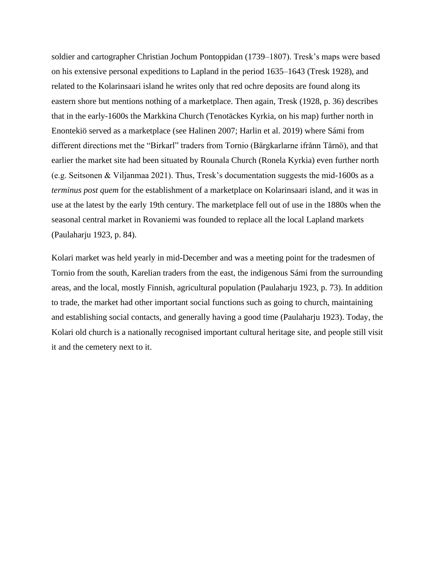soldier and cartographer Christian Jochum Pontoppidan (1739–1807). Tresk's maps were based on his extensive personal expeditions to Lapland in the period 1635–1643 (Tresk 1928), and related to the Kolarinsaari island he writes only that red ochre deposits are found along its eastern shore but mentions nothing of a marketplace. Then again, Tresk (1928, p. 36) describes that in the early-1600s the Markkina Church (Tenotäckes Kyrkia, on his map) further north in Enontekiö served as a marketplace (see Halinen 2007; Harlin et al. 2019) where Sámi from different directions met the "Birkarl" traders from Tornio (Bärgkarlarne ifrånn Tårnö), and that earlier the market site had been situated by Rounala Church (Ronela Kyrkia) even further north (e.g. Seitsonen & Viljanmaa 2021). Thus, Tresk's documentation suggests the mid-1600s as a *terminus post quem* for the establishment of a marketplace on Kolarinsaari island, and it was in use at the latest by the early 19th century. The marketplace fell out of use in the 1880s when the seasonal central market in Rovaniemi was founded to replace all the local Lapland markets (Paulaharju 1923, p. 84).

Kolari market was held yearly in mid-December and was a meeting point for the tradesmen of Tornio from the south, Karelian traders from the east, the indigenous Sámi from the surrounding areas, and the local, mostly Finnish, agricultural population (Paulaharju 1923, p. 73). In addition to trade, the market had other important social functions such as going to church, maintaining and establishing social contacts, and generally having a good time (Paulaharju 1923). Today, the Kolari old church is a nationally recognised important cultural heritage site, and people still visit it and the cemetery next to it.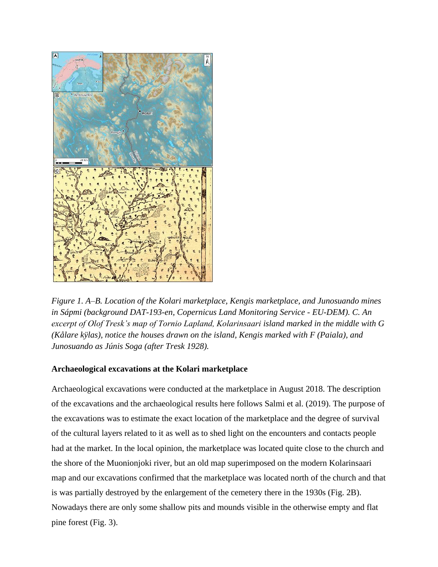

*Figure 1. A*–*B. Location of the Kolari marketplace, Kengis marketplace, and Junosuando mines in Sápmi (background DAT-193-en, Copernicus Land Monitoring Service - EU-DEM). C. An excerpt of Olof Tresk's map of Tornio Lapland, Kolarinsaari island marked in the middle with G (Kålare kÿlas), notice the houses drawn on the island, Kengis marked with F (Paiala), and Junosuando as Júnis Soga (after Tresk 1928).*

# **Archaeological excavations at the Kolari marketplace**

Archaeological excavations were conducted at the marketplace in August 2018. The description of the excavations and the archaeological results here follows Salmi et al. (2019). The purpose of the excavations was to estimate the exact location of the marketplace and the degree of survival of the cultural layers related to it as well as to shed light on the encounters and contacts people had at the market. In the local opinion, the marketplace was located quite close to the church and the shore of the Muonionjoki river, but an old map superimposed on the modern Kolarinsaari map and our excavations confirmed that the marketplace was located north of the church and that is was partially destroyed by the enlargement of the cemetery there in the 1930s (Fig. 2B). Nowadays there are only some shallow pits and mounds visible in the otherwise empty and flat pine forest (Fig. 3).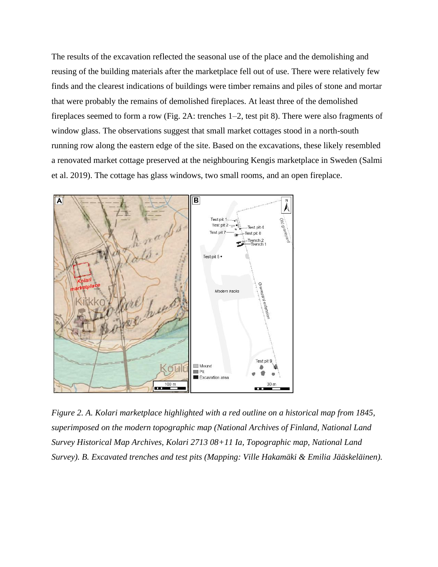The results of the excavation reflected the seasonal use of the place and the demolishing and reusing of the building materials after the marketplace fell out of use. There were relatively few finds and the clearest indications of buildings were timber remains and piles of stone and mortar that were probably the remains of demolished fireplaces. At least three of the demolished fireplaces seemed to form a row (Fig. 2A: trenches 1–2, test pit 8). There were also fragments of window glass. The observations suggest that small market cottages stood in a north-south running row along the eastern edge of the site. Based on the excavations, these likely resembled a renovated market cottage preserved at the neighbouring Kengis marketplace in Sweden (Salmi et al. 2019). The cottage has glass windows, two small rooms, and an open fireplace.



*Figure 2. A. Kolari marketplace highlighted with a red outline on a historical map from 1845, superimposed on the modern topographic map (National Archives of Finland, National Land Survey Historical Map Archives, Kolari 2713 08+11 Ia, Topographic map, National Land Survey). B. Excavated trenches and test pits (Mapping: Ville Hakamäki & Emilia Jääskeläinen).*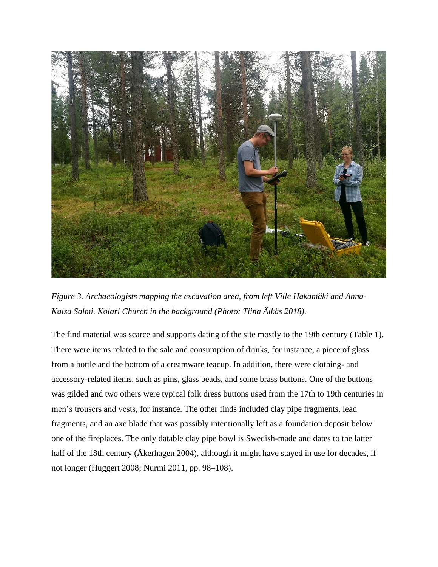

*Figure 3. Archaeologists mapping the excavation area, from left Ville Hakamäki and Anna-Kaisa Salmi. Kolari Church in the background (Photo: Tiina Äikäs 2018).*

The find material was scarce and supports dating of the site mostly to the 19th century (Table 1). There were items related to the sale and consumption of drinks, for instance, a piece of glass from a bottle and the bottom of a creamware teacup. In addition, there were clothing- and accessory-related items, such as pins, glass beads, and some brass buttons. One of the buttons was gilded and two others were typical folk dress buttons used from the 17th to 19th centuries in men's trousers and vests, for instance. The other finds included clay pipe fragments, lead fragments, and an axe blade that was possibly intentionally left as a foundation deposit below one of the fireplaces. The only datable clay pipe bowl is Swedish-made and dates to the latter half of the 18th century (Åkerhagen 2004), although it might have stayed in use for decades, if not longer (Huggert 2008; Nurmi 2011, pp. 98–108).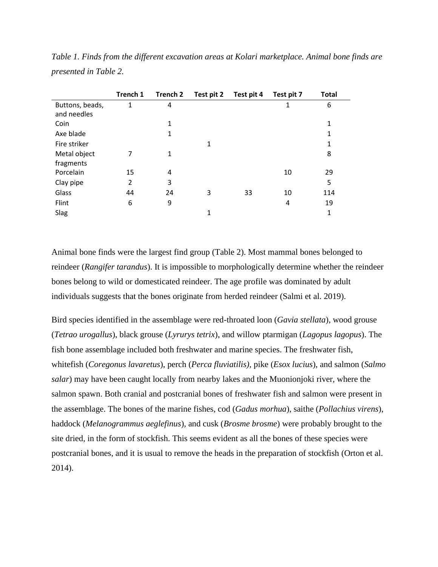|                 | Trench 1 | Trench 2 | Test pit 2 | Test pit 4 | Test pit 7 | <b>Total</b> |
|-----------------|----------|----------|------------|------------|------------|--------------|
| Buttons, beads, | 1        | 4        |            |            | 1          | 6            |
| and needles     |          |          |            |            |            |              |
| Coin            |          | 1        |            |            |            | 1            |
| Axe blade       |          | 1        |            |            |            | 1            |
| Fire striker    |          |          | 1          |            |            | 1            |
| Metal object    | 7        | 1        |            |            |            | 8            |
| fragments       |          |          |            |            |            |              |
| Porcelain       | 15       | 4        |            |            | 10         | 29           |
| Clay pipe       | 2        | 3        |            |            |            | 5            |
| Glass           | 44       | 24       | 3          | 33         | 10         | 114          |
| Flint           | 6        | 9        |            |            | 4          | 19           |
| Slag            |          |          | 1          |            |            | 1            |

*Table 1. Finds from the different excavation areas at Kolari marketplace. Animal bone finds are presented in Table 2.*

Animal bone finds were the largest find group (Table 2). Most mammal bones belonged to reindeer (*Rangifer tarandus*). It is impossible to morphologically determine whether the reindeer bones belong to wild or domesticated reindeer. The age profile was dominated by adult individuals suggests that the bones originate from herded reindeer (Salmi et al. 2019).

Bird species identified in the assemblage were red-throated loon (*Gavia stellata*), wood grouse (*Tetrao urogallus*), black grouse (*Lyrurys tetrix*), and willow ptarmigan (*Lagopus lagopus*). The fish bone assemblage included both freshwater and marine species. The freshwater fish, whitefish (*Coregonus lavaretus*), perch (*Perca fluviatilis),* pike (*Esox lucius*), and salmon (*Salmo salar*) may have been caught locally from nearby lakes and the Muonionjoki river, where the salmon spawn. Both cranial and postcranial bones of freshwater fish and salmon were present in the assemblage. The bones of the marine fishes, cod (*Gadus morhua*), saithe (*Pollachius virens*), haddock (*Melanogrammus aeglefinus*), and cusk (*Brosme brosme*) were probably brought to the site dried, in the form of stockfish. This seems evident as all the bones of these species were postcranial bones, and it is usual to remove the heads in the preparation of stockfish (Orton et al. 2014).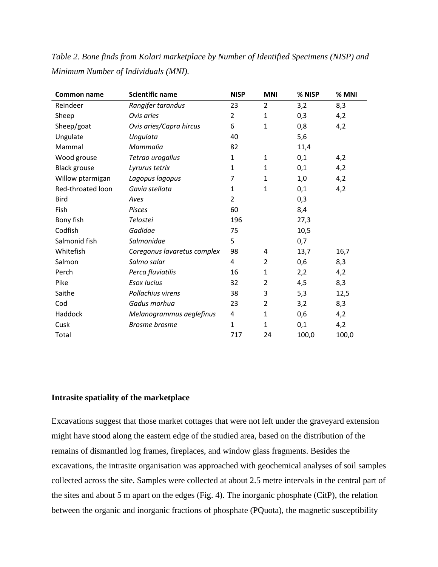| Common name         | <b>Scientific name</b>      | <b>NISP</b>    | <b>MNI</b>     | % NISP | % MNI |
|---------------------|-----------------------------|----------------|----------------|--------|-------|
| Reindeer            | Rangifer tarandus           | 23             | $\overline{2}$ | 3,2    | 8,3   |
| Sheep               | Ovis aries                  | $\overline{2}$ | 1              | 0,3    | 4,2   |
| Sheep/goat          | Ovis aries/Capra hircus     | 6              | $\mathbf{1}$   | 0,8    | 4,2   |
| Ungulate            | Ungulata                    | 40             |                | 5,6    |       |
| Mammal              | Mammalia                    | 82             |                | 11,4   |       |
| Wood grouse         | Tetrao urogallus            | 1              | 1              | 0,1    | 4,2   |
| <b>Black grouse</b> | Lyrurus tetrix              | 1              | $\mathbf{1}$   | 0,1    | 4,2   |
| Willow ptarmigan    | Lagopus lagopus             | 7              | $\mathbf{1}$   | 1,0    | 4,2   |
| Red-throated loon   | Gavia stellata              | 1              | $\mathbf{1}$   | 0,1    | 4,2   |
| <b>Bird</b>         | Aves                        | 2              |                | 0,3    |       |
| Fish                | <b>Pisces</b>               | 60             |                | 8,4    |       |
| Bony fish           | Telostei                    | 196            |                | 27,3   |       |
| Codfish             | Gadidae                     | 75             |                | 10,5   |       |
| Salmonid fish       | Salmonidae                  | 5              |                | 0,7    |       |
| Whitefish           | Coregonus lavaretus complex | 98             | 4              | 13,7   | 16,7  |
| Salmon              | Salmo salar                 | 4              | $\overline{2}$ | 0,6    | 8,3   |
| Perch               | Perca fluviatilis           | 16             | $\mathbf{1}$   | 2,2    | 4,2   |
| Pike                | <b>Esox lucius</b>          | 32             | $\overline{2}$ | 4,5    | 8,3   |
| Saithe              | Pollachius virens           | 38             | 3              | 5,3    | 12,5  |
| Cod                 | Gadus morhua                | 23             | $\overline{2}$ | 3,2    | 8,3   |
| Haddock             | Melanogrammus aeglefinus    | 4              | $\mathbf{1}$   | 0,6    | 4,2   |
| Cusk                | <b>Brosme</b> brosme        | $\mathbf{1}$   | $\mathbf{1}$   | 0,1    | 4,2   |
| Total               |                             | 717            | 24             | 100,0  | 100,0 |

*Table 2. Bone finds from Kolari marketplace by Number of Identified Specimens (NISP) and Minimum Number of Individuals (MNI).*

# **Intrasite spatiality of the marketplace**

Excavations suggest that those market cottages that were not left under the graveyard extension might have stood along the eastern edge of the studied area, based on the distribution of the remains of dismantled log frames, fireplaces, and window glass fragments. Besides the excavations, the intrasite organisation was approached with geochemical analyses of soil samples collected across the site. Samples were collected at about 2.5 metre intervals in the central part of the sites and about 5 m apart on the edges (Fig. 4). The inorganic phosphate (CitP), the relation between the organic and inorganic fractions of phosphate (PQuota), the magnetic susceptibility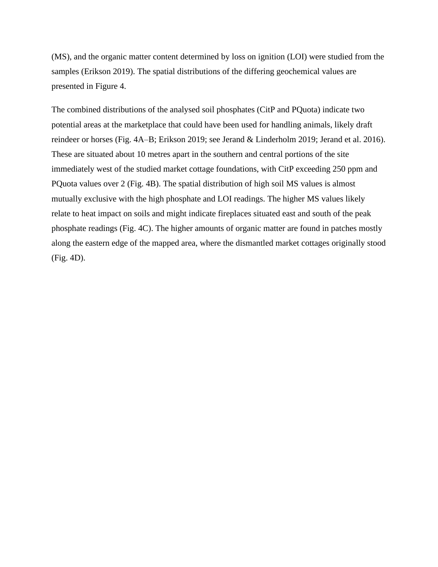(MS), and the organic matter content determined by loss on ignition (LOI) were studied from the samples (Erikson 2019). The spatial distributions of the differing geochemical values are presented in Figure 4.

The combined distributions of the analysed soil phosphates (CitP and PQuota) indicate two potential areas at the marketplace that could have been used for handling animals, likely draft reindeer or horses (Fig. 4A–B; Erikson 2019; see Jerand & Linderholm 2019; Jerand et al. 2016). These are situated about 10 metres apart in the southern and central portions of the site immediately west of the studied market cottage foundations, with CitP exceeding 250 ppm and PQuota values over 2 (Fig. 4B). The spatial distribution of high soil MS values is almost mutually exclusive with the high phosphate and LOI readings. The higher MS values likely relate to heat impact on soils and might indicate fireplaces situated east and south of the peak phosphate readings (Fig. 4C). The higher amounts of organic matter are found in patches mostly along the eastern edge of the mapped area, where the dismantled market cottages originally stood (Fig. 4D).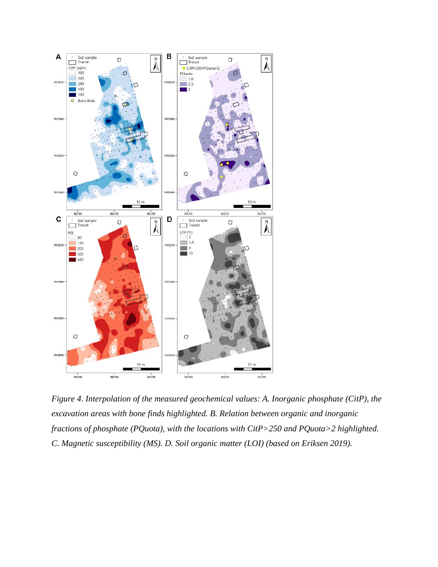

*Figure 4. Interpolation of the measured geochemical values: A. Inorganic phosphate (CitP), the excavation areas with bone finds highlighted. B. Relation between organic and inorganic fractions of phosphate (PQuota), with the locations with CitP>250 and PQuota>2 highlighted. C. Magnetic susceptibility (MS). D. Soil organic matter (LOI) (based on Eriksen 2019).*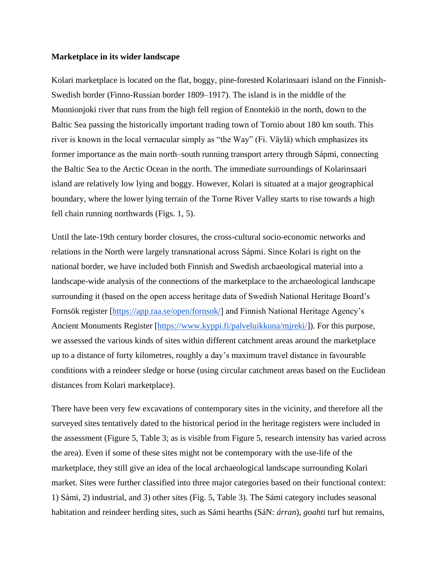#### **Marketplace in its wider landscape**

Kolari marketplace is located on the flat, boggy, pine-forested Kolarinsaari island on the Finnish-Swedish border (Finno-Russian border 1809–1917). The island is in the middle of the Muonionjoki river that runs from the high fell region of Enontekiö in the north, down to the Baltic Sea passing the historically important trading town of Tornio about 180 km south. This river is known in the local vernacular simply as "the Way" (Fi. Väylä) which emphasizes its former importance as the main north–south running transport artery through Sápmi, connecting the Baltic Sea to the Arctic Ocean in the north. The immediate surroundings of Kolarinsaari island are relatively low lying and boggy. However, Kolari is situated at a major geographical boundary, where the lower lying terrain of the Torne River Valley starts to rise towards a high fell chain running northwards (Figs. 1, 5).

Until the late-19th century border closures, the cross-cultural socio-economic networks and relations in the North were largely transnational across Sápmi. Since Kolari is right on the national border, we have included both Finnish and Swedish archaeological material into a landscape-wide analysis of the connections of the marketplace to the archaeological landscape surrounding it (based on the open access heritage data of Swedish National Heritage Board's Fornsök register [https://app.raa.se/open/fornsok/] and Finnish National Heritage Agency's Ancient Monuments Register [\[https://www.kyppi.fi/palveluikkuna/mjreki/\]](https://www.kyppi.fi/palveluikkuna/mjreki/)). For this purpose, we assessed the various kinds of sites within different catchment areas around the marketplace up to a distance of forty kilometres, roughly a day's maximum travel distance in favourable conditions with a reindeer sledge or horse (using circular catchment areas based on the Euclidean distances from Kolari marketplace).

There have been very few excavations of contemporary sites in the vicinity, and therefore all the surveyed sites tentatively dated to the historical period in the heritage registers were included in the assessment (Figure 5, Table 3; as is visible from Figure 5, research intensity has varied across the area). Even if some of these sites might not be contemporary with the use-life of the marketplace, they still give an idea of the local archaeological landscape surrounding Kolari market. Sites were further classified into three major categories based on their functional context: 1) Sámi, 2) industrial, and 3) other sites (Fig. 5, Table 3). The Sámi category includes seasonal habitation and reindeer herding sites, such as Sámi hearths (SáN: *árran*), *goahti* turf hut remains,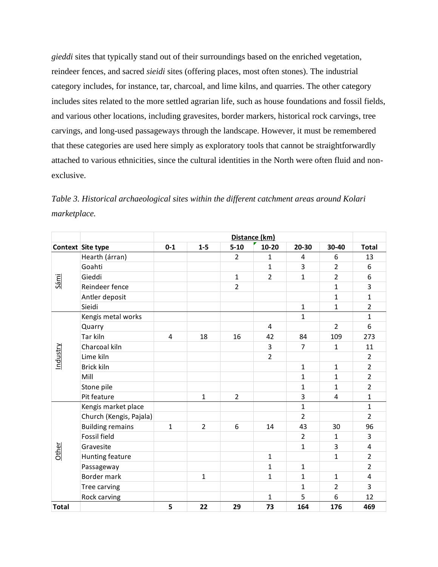*gieddi* sites that typically stand out of their surroundings based on the enriched vegetation, reindeer fences, and sacred *sieidi* sites (offering places, most often stones). The industrial category includes, for instance, tar, charcoal, and lime kilns, and quarries. The other category includes sites related to the more settled agrarian life, such as house foundations and fossil fields, and various other locations, including gravesites, border markers, historical rock carvings, tree carvings, and long-used passageways through the landscape. However, it must be remembered that these categories are used here simply as exploratory tools that cannot be straightforwardly attached to various ethnicities, since the cultural identities in the North were often fluid and nonexclusive.

*Table 3. Historical archaeological sites within the different catchment areas around Kolari marketplace.*

|                 |                         | Distance (km)  |                |                |                |                |                |                |
|-----------------|-------------------------|----------------|----------------|----------------|----------------|----------------|----------------|----------------|
|                 | Context Site type       | $0 - 1$        | $1 - 5$        | $5 - 10$       | 10-20          | 20-30          | 30-40          | <b>Total</b>   |
| Sámi            | Hearth (árran)          |                |                | $\overline{2}$ | $\mathbf{1}$   | 4              | 6              | 13             |
|                 | Goahti                  |                |                |                | $\mathbf{1}$   | 3              | $\overline{2}$ | 6              |
|                 | Gieddi                  |                |                | 1              | $\overline{2}$ | 1              | $\overline{2}$ | 6              |
|                 | Reindeer fence          |                |                | $\overline{2}$ |                |                | $\mathbf{1}$   | 3              |
|                 | Antler deposit          |                |                |                |                |                | 1              | $\mathbf{1}$   |
|                 | Sieidi                  |                |                |                |                | $\mathbf{1}$   | $\mathbf{1}$   | $\overline{2}$ |
| <u>Industry</u> | Kengis metal works      |                |                |                |                | $\mathbf{1}$   |                | $\mathbf{1}$   |
|                 | Quarry                  |                |                |                | 4              |                | $\mathcal{P}$  | 6              |
|                 | Tar kiln                | $\overline{4}$ | 18             | 16             | 42             | 84             | 109            | 273            |
|                 | Charcoal kiln           |                |                |                | 3              | $\overline{7}$ | $\mathbf{1}$   | 11             |
|                 | Lime kiln               |                |                |                | $\overline{2}$ |                |                | $\overline{2}$ |
|                 | Brick kiln              |                |                |                |                | $\mathbf{1}$   | $\mathbf{1}$   | $\overline{2}$ |
|                 | Mill                    |                |                |                |                | $\mathbf{1}$   | 1              | $\overline{2}$ |
|                 | Stone pile              |                |                |                |                | 1              | 1              | $\overline{2}$ |
|                 | Pit feature             |                | $\mathbf{1}$   | $\overline{2}$ |                | 3              | $\overline{4}$ | $\mathbf{1}$   |
| Other           | Kengis market place     |                |                |                |                | $\mathbf{1}$   |                | $\mathbf{1}$   |
|                 | Church (Kengis, Pajala) |                |                |                |                | $\overline{2}$ |                | $\overline{2}$ |
|                 | <b>Building remains</b> | $\mathbf{1}$   | $\overline{2}$ | 6              | 14             | 43             | 30             | 96             |
|                 | <b>Fossil field</b>     |                |                |                |                | $\overline{2}$ | $\mathbf{1}$   | 3              |
|                 | Gravesite               |                |                |                |                | $\mathbf{1}$   | 3              | 4              |
|                 | Hunting feature         |                |                |                | $\mathbf{1}$   |                | 1              | $\overline{2}$ |
|                 | Passageway              |                |                |                | $\mathbf{1}$   | $\mathbf{1}$   |                | $\overline{2}$ |
|                 | Border mark             |                | $\mathbf{1}$   |                | $\mathbf{1}$   | 1              | $\mathbf{1}$   | 4              |
|                 | Tree carving            |                |                |                |                | 1              | $\overline{2}$ | 3              |
|                 | Rock carving            |                |                |                | $\mathbf{1}$   | 5              | 6              | 12             |
| <b>Total</b>    |                         | 5              | 22             | 29             | 73             | 164            | 176            | 469            |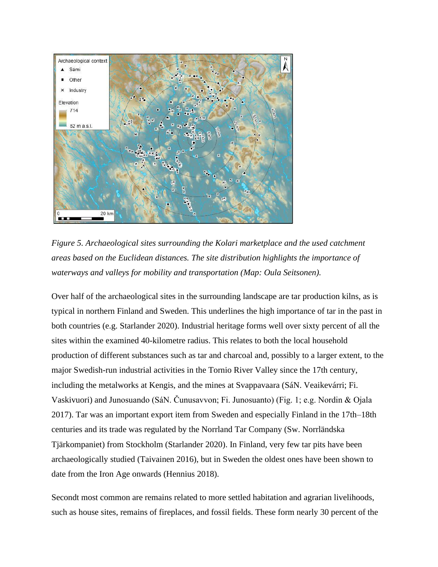

*Figure 5. Archaeological sites surrounding the Kolari marketplace and the used catchment areas based on the Euclidean distances. The site distribution highlights the importance of waterways and valleys for mobility and transportation (Map: Oula Seitsonen).*

Over half of the archaeological sites in the surrounding landscape are tar production kilns, as is typical in northern Finland and Sweden. This underlines the high importance of tar in the past in both countries (e.g. Starlander 2020). Industrial heritage forms well over sixty percent of all the sites within the examined 40-kilometre radius. This relates to both the local household production of different substances such as tar and charcoal and, possibly to a larger extent, to the major Swedish-run industrial activities in the Tornio River Valley since the 17th century, including the metalworks at Kengis, and the mines at Svappavaara (SáN. Veaikevárri; Fi. Vaskivuori) and Junosuando (SáN. Čunusavvon; Fi. Junosuanto) (Fig. 1; e.g. Nordin & Ojala 2017). Tar was an important export item from Sweden and especially Finland in the 17th–18th centuries and its trade was regulated by the Norrland Tar Company (Sw. Norrländska Tjärkompaniet) from Stockholm (Starlander 2020). In Finland, very few tar pits have been archaeologically studied (Taivainen 2016), but in Sweden the oldest ones have been shown to date from the Iron Age onwards (Hennius 2018).

Secondt most common are remains related to more settled habitation and agrarian livelihoods, such as house sites, remains of fireplaces, and fossil fields. These form nearly 30 percent of the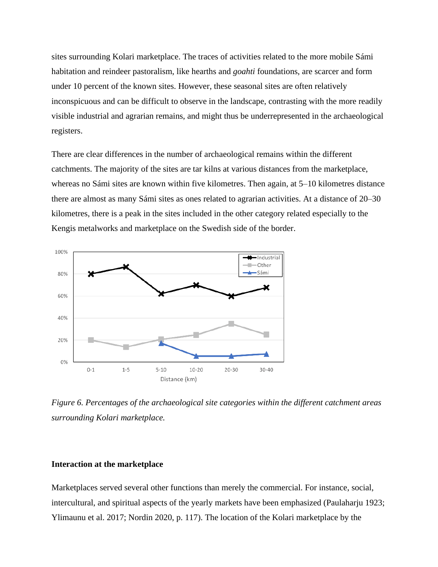sites surrounding Kolari marketplace. The traces of activities related to the more mobile Sámi habitation and reindeer pastoralism, like hearths and *goahti* foundations, are scarcer and form under 10 percent of the known sites. However, these seasonal sites are often relatively inconspicuous and can be difficult to observe in the landscape, contrasting with the more readily visible industrial and agrarian remains, and might thus be underrepresented in the archaeological registers.

There are clear differences in the number of archaeological remains within the different catchments. The majority of the sites are tar kilns at various distances from the marketplace, whereas no Sámi sites are known within five kilometres. Then again, at 5–10 kilometres distance there are almost as many Sámi sites as ones related to agrarian activities. At a distance of 20–30 kilometres, there is a peak in the sites included in the other category related especially to the Kengis metalworks and marketplace on the Swedish side of the border.



*Figure 6. Percentages of the archaeological site categories within the different catchment areas surrounding Kolari marketplace.*

## **Interaction at the marketplace**

Marketplaces served several other functions than merely the commercial. For instance, social, intercultural, and spiritual aspects of the yearly markets have been emphasized (Paulaharju 1923; Ylimaunu et al. 2017; Nordin 2020, p. 117). The location of the Kolari marketplace by the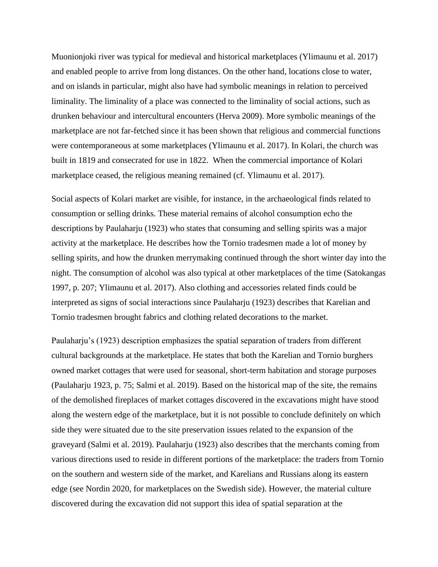Muonionjoki river was typical for medieval and historical marketplaces (Ylimaunu et al. 2017) and enabled people to arrive from long distances. On the other hand, locations close to water, and on islands in particular, might also have had symbolic meanings in relation to perceived liminality. The liminality of a place was connected to the liminality of social actions, such as drunken behaviour and intercultural encounters (Herva 2009). More symbolic meanings of the marketplace are not far-fetched since it has been shown that religious and commercial functions were contemporaneous at some marketplaces (Ylimaunu et al. 2017). In Kolari, the church was built in 1819 and consecrated for use in 1822. When the commercial importance of Kolari marketplace ceased, the religious meaning remained (cf. Ylimaunu et al. 2017).

Social aspects of Kolari market are visible, for instance, in the archaeological finds related to consumption or selling drinks. These material remains of alcohol consumption echo the descriptions by Paulaharju (1923) who states that consuming and selling spirits was a major activity at the marketplace. He describes how the Tornio tradesmen made a lot of money by selling spirits, and how the drunken merrymaking continued through the short winter day into the night. The consumption of alcohol was also typical at other marketplaces of the time (Satokangas 1997, p. 207; Ylimaunu et al. 2017). Also clothing and accessories related finds could be interpreted as signs of social interactions since Paulaharju (1923) describes that Karelian and Tornio tradesmen brought fabrics and clothing related decorations to the market.

Paulaharju's (1923) description emphasizes the spatial separation of traders from different cultural backgrounds at the marketplace. He states that both the Karelian and Tornio burghers owned market cottages that were used for seasonal, short-term habitation and storage purposes (Paulaharju 1923, p. 75; Salmi et al. 2019). Based on the historical map of the site, the remains of the demolished fireplaces of market cottages discovered in the excavations might have stood along the western edge of the marketplace, but it is not possible to conclude definitely on which side they were situated due to the site preservation issues related to the expansion of the graveyard (Salmi et al. 2019). Paulaharju (1923) also describes that the merchants coming from various directions used to reside in different portions of the marketplace: the traders from Tornio on the southern and western side of the market, and Karelians and Russians along its eastern edge (see Nordin 2020, for marketplaces on the Swedish side). However, the material culture discovered during the excavation did not support this idea of spatial separation at the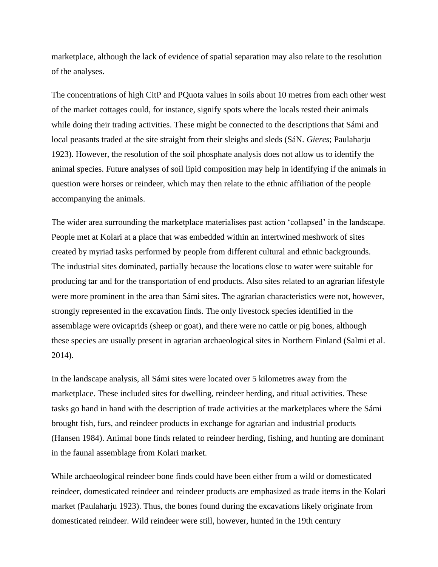marketplace, although the lack of evidence of spatial separation may also relate to the resolution of the analyses.

The concentrations of high CitP and PQuota values in soils about 10 metres from each other west of the market cottages could, for instance, signify spots where the locals rested their animals while doing their trading activities. These might be connected to the descriptions that Sámi and local peasants traded at the site straight from their sleighs and sleds (SáN. *Gieres*; Paulaharju 1923). However, the resolution of the soil phosphate analysis does not allow us to identify the animal species. Future analyses of soil lipid composition may help in identifying if the animals in question were horses or reindeer, which may then relate to the ethnic affiliation of the people accompanying the animals.

The wider area surrounding the marketplace materialises past action 'collapsed' in the landscape. People met at Kolari at a place that was embedded within an intertwined meshwork of sites created by myriad tasks performed by people from different cultural and ethnic backgrounds. The industrial sites dominated, partially because the locations close to water were suitable for producing tar and for the transportation of end products. Also sites related to an agrarian lifestyle were more prominent in the area than Sámi sites. The agrarian characteristics were not, however, strongly represented in the excavation finds. The only livestock species identified in the assemblage were ovicaprids (sheep or goat), and there were no cattle or pig bones, although these species are usually present in agrarian archaeological sites in Northern Finland (Salmi et al. 2014).

In the landscape analysis, all Sámi sites were located over 5 kilometres away from the marketplace. These included sites for dwelling, reindeer herding, and ritual activities. These tasks go hand in hand with the description of trade activities at the marketplaces where the Sámi brought fish, furs, and reindeer products in exchange for agrarian and industrial products (Hansen 1984). Animal bone finds related to reindeer herding, fishing, and hunting are dominant in the faunal assemblage from Kolari market.

While archaeological reindeer bone finds could have been either from a wild or domesticated reindeer, domesticated reindeer and reindeer products are emphasized as trade items in the Kolari market (Paulaharju 1923). Thus, the bones found during the excavations likely originate from domesticated reindeer. Wild reindeer were still, however, hunted in the 19th century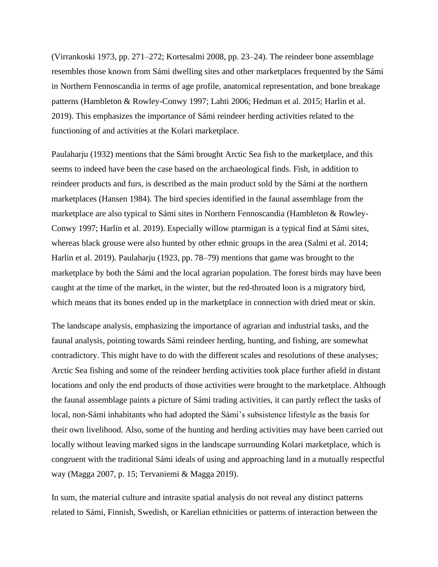(Virrankoski 1973, pp. 271–272; Kortesalmi 2008, pp. 23–24). The reindeer bone assemblage resembles those known from Sámi dwelling sites and other marketplaces frequented by the Sámi in Northern Fennoscandia in terms of age profile, anatomical representation, and bone breakage patterns (Hambleton & Rowley-Conwy 1997; Lahti 2006; Hedman et al. 2015; Harlin et al. 2019). This emphasizes the importance of Sámi reindeer herding activities related to the functioning of and activities at the Kolari marketplace.

Paulaharju (1932) mentions that the Sámi brought Arctic Sea fish to the marketplace, and this seems to indeed have been the case based on the archaeological finds. Fish, in addition to reindeer products and furs, is described as the main product sold by the Sámi at the northern marketplaces (Hansen 1984). The bird species identified in the faunal assemblage from the marketplace are also typical to Sámi sites in Northern Fennoscandia (Hambleton & Rowley-Conwy 1997; Harlin et al. 2019). Especially willow ptarmigan is a typical find at Sámi sites, whereas black grouse were also hunted by other ethnic groups in the area (Salmi et al. 2014; Harlin et al. 2019). Paulaharju (1923, pp. 78–79) mentions that game was brought to the marketplace by both the Sámi and the local agrarian population. The forest birds may have been caught at the time of the market, in the winter, but the red-throated loon is a migratory bird, which means that its bones ended up in the marketplace in connection with dried meat or skin.

The landscape analysis, emphasizing the importance of agrarian and industrial tasks, and the faunal analysis, pointing towards Sámi reindeer herding, hunting, and fishing, are somewhat contradictory. This might have to do with the different scales and resolutions of these analyses; Arctic Sea fishing and some of the reindeer herding activities took place further afield in distant locations and only the end products of those activities were brought to the marketplace. Although the faunal assemblage paints a picture of Sámi trading activities, it can partly reflect the tasks of local, non-Sámi inhabitants who had adopted the Sámi's subsistence lifestyle as the basis for their own livelihood. Also, some of the hunting and herding activities may have been carried out locally without leaving marked signs in the landscape surrounding Kolari marketplace, which is congruent with the traditional Sámi ideals of using and approaching land in a mutually respectful way (Magga 2007, p. 15; Tervaniemi & Magga 2019).

In sum, the material culture and intrasite spatial analysis do not reveal any distinct patterns related to Sámi, Finnish, Swedish, or Karelian ethnicities or patterns of interaction between the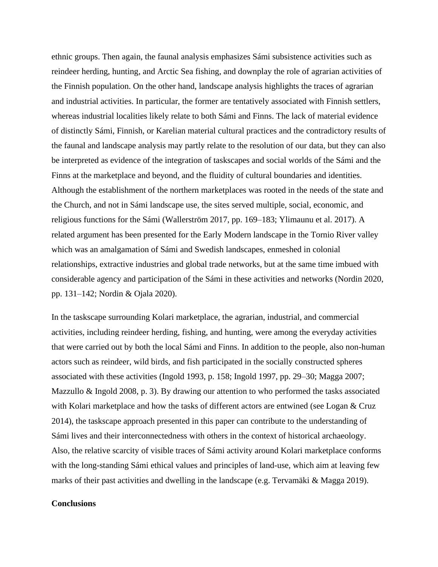ethnic groups. Then again, the faunal analysis emphasizes Sámi subsistence activities such as reindeer herding, hunting, and Arctic Sea fishing, and downplay the role of agrarian activities of the Finnish population. On the other hand, landscape analysis highlights the traces of agrarian and industrial activities. In particular, the former are tentatively associated with Finnish settlers, whereas industrial localities likely relate to both Sámi and Finns. The lack of material evidence of distinctly Sámi, Finnish, or Karelian material cultural practices and the contradictory results of the faunal and landscape analysis may partly relate to the resolution of our data, but they can also be interpreted as evidence of the integration of taskscapes and social worlds of the Sámi and the Finns at the marketplace and beyond, and the fluidity of cultural boundaries and identities. Although the establishment of the northern marketplaces was rooted in the needs of the state and the Church, and not in Sámi landscape use, the sites served multiple, social, economic, and religious functions for the Sámi (Wallerström 2017, pp. 169–183; Ylimaunu et al. 2017). A related argument has been presented for the Early Modern landscape in the Tornio River valley which was an amalgamation of Sámi and Swedish landscapes, enmeshed in colonial relationships, extractive industries and global trade networks, but at the same time imbued with considerable agency and participation of the Sámi in these activities and networks (Nordin 2020, pp. 131–142; Nordin & Ojala 2020).

In the taskscape surrounding Kolari marketplace, the agrarian, industrial, and commercial activities, including reindeer herding, fishing, and hunting, were among the everyday activities that were carried out by both the local Sámi and Finns. In addition to the people, also non-human actors such as reindeer, wild birds, and fish participated in the socially constructed spheres associated with these activities (Ingold 1993, p. 158; Ingold 1997, pp. 29–30; Magga 2007; Mazzullo & Ingold 2008, p. 3). By drawing our attention to who performed the tasks associated with Kolari marketplace and how the tasks of different actors are entwined (see Logan & Cruz 2014), the taskscape approach presented in this paper can contribute to the understanding of Sámi lives and their interconnectedness with others in the context of historical archaeology. Also, the relative scarcity of visible traces of Sámi activity around Kolari marketplace conforms with the long-standing Sámi ethical values and principles of land-use, which aim at leaving few marks of their past activities and dwelling in the landscape (e.g. Tervamäki & Magga 2019).

## **Conclusions**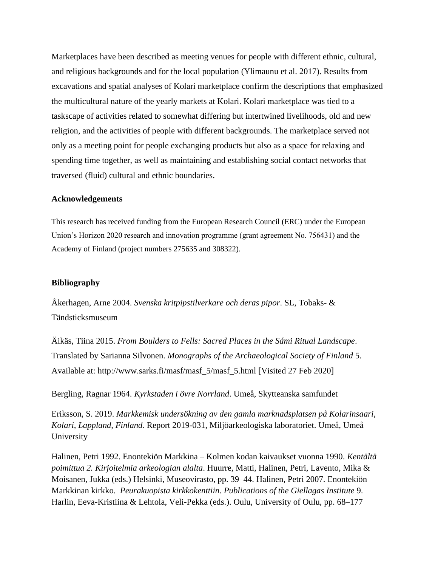Marketplaces have been described as meeting venues for people with different ethnic, cultural, and religious backgrounds and for the local population (Ylimaunu et al. 2017). Results from excavations and spatial analyses of Kolari marketplace confirm the descriptions that emphasized the multicultural nature of the yearly markets at Kolari. Kolari marketplace was tied to a taskscape of activities related to somewhat differing but intertwined livelihoods, old and new religion, and the activities of people with different backgrounds. The marketplace served not only as a meeting point for people exchanging products but also as a space for relaxing and spending time together, as well as maintaining and establishing social contact networks that traversed (fluid) cultural and ethnic boundaries.

## **Acknowledgements**

This research has received funding from the European Research Council (ERC) under the European Union's Horizon 2020 research and innovation programme (grant agreement No. 756431) and the Academy of Finland (project numbers 275635 and 308322).

## **Bibliography**

Åkerhagen, Arne 2004. *Svenska kritpipstilverkare och deras pipor*. SL, Tobaks- & Tändsticksmuseum

Äikäs, Tiina 2015. *From Boulders to Fells: Sacred Places in the Sámi Ritual Landscape*. Translated by Sarianna Silvonen. *Monographs of the Archaeological Society of Finland* 5. Available at: http://www.sarks.fi/masf/masf\_5/masf\_5.html [Visited 27 Feb 2020]

Bergling, Ragnar 1964. *Kyrkstaden i övre Norrland*. Umeå, Skytteanska samfundet

Eriksson, S. 2019. *Markkemisk undersökning av den gamla marknadsplatsen på Kolarinsaari, Kolari, Lappland, Finland.* Report 2019-031, Miljöarkeologiska laboratoriet. Umeå, Umeå University

Halinen, Petri 1992. Enontekiön Markkina – Kolmen kodan kaivaukset vuonna 1990. *Kentältä poimittua 2. Kirjoitelmia arkeologian alalta*. Huurre, Matti, Halinen, Petri, Lavento, Mika & Moisanen, Jukka (eds.) Helsinki, Museovirasto, pp. 39–44. Halinen, Petri 2007. Enontekiön Markkinan kirkko. *Peurakuopista kirkkokenttiin*. *Publications of the Giellagas Institute* 9. Harlin, Eeva-Kristiina & Lehtola, Veli-Pekka (eds.). Oulu, University of Oulu, pp. 68–177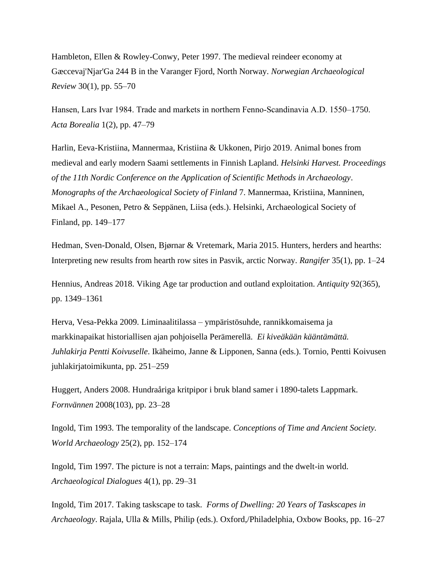Hambleton, Ellen & Rowley-Conwy, Peter 1997. The medieval reindeer economy at Gæccevaj'Njar'Ga 244 B in the Varanger Fjord, North Norway. *Norwegian Archaeological Review* 30(1), pp. 55–70

Hansen, Lars Ivar 1984. Trade and markets in northern Fenno‐Scandinavia A.D. 1550–1750. *Acta Borealia* 1(2), pp. 47–79

Harlin, Eeva-Kristiina, Mannermaa, Kristiina & Ukkonen, Pirjo 2019. Animal bones from medieval and early modern Saami settlements in Finnish Lapland. *Helsinki Harvest. Proceedings of the 11th Nordic Conference on the Application of Scientific Methods in Archaeology*. *Monographs of the Archaeological Society of Finland* 7. Mannermaa, Kristiina, Manninen, Mikael A., Pesonen, Petro & Seppänen, Liisa (eds.). Helsinki, Archaeological Society of Finland, pp. 149–177

Hedman, Sven-Donald, Olsen, Bjørnar & Vretemark, Maria 2015. Hunters, herders and hearths: Interpreting new results from hearth row sites in Pasvik, arctic Norway. *Rangifer* 35(1), pp. 1–24

Hennius, Andreas 2018. Viking Age tar production and outland exploitation. *Antiquity* 92(365), pp. 1349–1361

Herva, Vesa-Pekka 2009. Liminaalitilassa – ympäristösuhde, rannikkomaisema ja markkinapaikat historiallisen ajan pohjoisella Perämerellä. *Ei kiveäkään kääntämättä. Juhlakirja Pentti Koivuselle*. Ikäheimo, Janne & Lipponen, Sanna (eds.). Tornio, Pentti Koivusen juhlakirjatoimikunta, pp. 251–259

Huggert, Anders 2008. Hundraåriga kritpipor i bruk bland samer i 1890-talets Lappmark. *Fornvännen* 2008(103), pp. 23–28

Ingold, Tim 1993. The temporality of the landscape. *Conceptions of Time and Ancient Society. World Archaeology* 25(2), pp. 152–174

Ingold, Tim 1997. The picture is not a terrain: Maps, paintings and the dwelt-in world. *Archaeological Dialogues* 4(1), pp. 29–31

Ingold, Tim 2017. Taking taskscape to task. *Forms of Dwelling: 20 Years of Taskscapes in Archaeology*. Rajala, Ulla & Mills, Philip (eds.). Oxford,/Philadelphia, Oxbow Books, pp. 16–27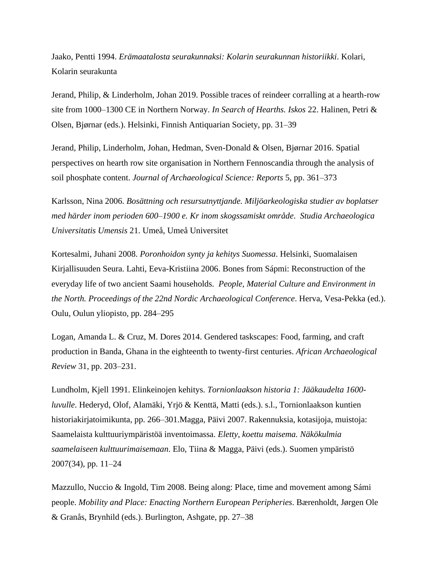Jaako, Pentti 1994. *Erämaatalosta seurakunnaksi: Kolarin seurakunnan historiikki*. Kolari, Kolarin seurakunta

Jerand, Philip, & Linderholm, Johan 2019. Possible traces of reindeer corralling at a hearth-row site from 1000–1300 CE in Northern Norway. *In Search of Hearths. Iskos* 22. Halinen, Petri & Olsen, Bjørnar (eds.). Helsinki, Finnish Antiquarian Society, pp. 31–39

Jerand, Philip, Linderholm, Johan, Hedman, Sven-Donald & Olsen, Bjørnar 2016. Spatial perspectives on hearth row site organisation in Northern Fennoscandia through the analysis of soil phosphate content. *Journal of Archaeological Science: Reports* 5, pp. 361–373

Karlsson, Nina 2006. *Bosättning och resursutnyttjande. Miljöarkeologiska studier av boplatser med härder inom perioden 600–1900 e. Kr inom skogssamiskt område*. *Studia Archaeologica Universitatis Umensis* 21. Umeå, Umeå Universitet

Kortesalmi, Juhani 2008. *Poronhoidon synty ja kehitys Suomessa*. Helsinki, Suomalaisen Kirjallisuuden Seura. Lahti, Eeva-Kristiina 2006. Bones from Sápmi: Reconstruction of the everyday life of two ancient Saami households. *People, Material Culture and Environment in the North. Proceedings of the 22nd Nordic Archaeological Conference*. Herva, Vesa-Pekka (ed.). Oulu, Oulun yliopisto, pp. 284–295

Logan, Amanda L. & Cruz, M. Dores 2014. Gendered taskscapes: Food, farming, and craft production in Banda, Ghana in the eighteenth to twenty-first centuries. *African Archaeological Review* 31, pp. 203–231.

Lundholm, Kjell 1991. Elinkeinojen kehitys. *Tornionlaakson historia 1: Jääkaudelta 1600 luvulle*. Hederyd, Olof, Alamäki, Yrjö & Kenttä, Matti (eds.). s.l., Tornionlaakson kuntien historiakirjatoimikunta, pp. 266–301.Magga, Päivi 2007. Rakennuksia, kotasijoja, muistoja: Saamelaista kulttuuriympäristöä inventoimassa. *Eletty, koettu maisema. Näkökulmia saamelaiseen kulttuurimaisemaan*. Elo, Tiina & Magga, Päivi (eds.). Suomen ympäristö 2007(34), pp. 11–24

Mazzullo, Nuccio & Ingold, Tim 2008. Being along: Place, time and movement among Sámi people. *Mobility and Place: Enacting Northern European Peripheries*. Bærenholdt, Jørgen Ole & Granås, Brynhild (eds.). Burlington, Ashgate, pp. 27–38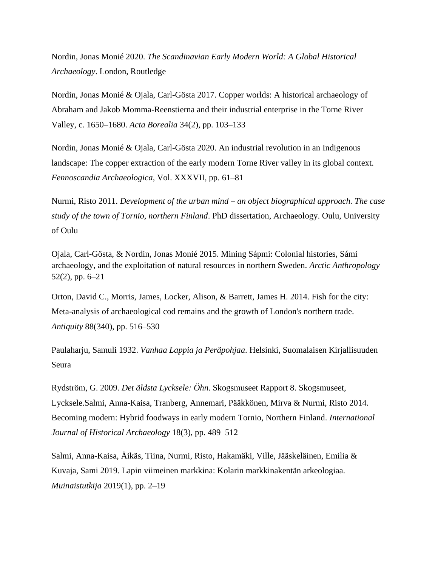Nordin, Jonas Monié 2020. *The Scandinavian Early Modern World: A Global Historical Archaeology*. London, Routledge

Nordin, Jonas Monié & Ojala, Carl-Gösta 2017. Copper worlds: A historical archaeology of Abraham and Jakob Momma-Reenstierna and their industrial enterprise in the Torne River Valley, c. 1650–1680. *Acta Borealia* 34(2), pp. 103–133

Nordin, Jonas Monié & Ojala, Carl-Gösta 2020. An industrial revolution in an Indigenous landscape: The copper extraction of the early modern Torne River valley in its global context. *Fennoscandia Archaeologica*, Vol. XXXVII, pp. 61–81

Nurmi, Risto 2011. *Development of the urban mind – an object biographical approach. The case study of the town of Tornio, northern Finland*. PhD dissertation, Archaeology. Oulu, University of Oulu

Ojala, Carl-Gösta, & Nordin, Jonas Monié 2015. Mining Sápmi: Colonial histories, Sámi archaeology, and the exploitation of natural resources in northern Sweden. *Arctic Anthropology* 52(2), pp. 6–21

Orton, David C., Morris, James, Locker, Alison, & Barrett, James H. 2014. Fish for the city: Meta-analysis of archaeological cod remains and the growth of London's northern trade. *Antiquity* 88(340), pp. 516–530

Paulaharju, Samuli 1932. *Vanhaa Lappia ja Peräpohjaa*. Helsinki, Suomalaisen Kirjallisuuden Seura

Rydström, G. 2009. *Det äldsta Lycksele: Öhn*. Skogsmuseet Rapport 8. Skogsmuseet, Lycksele.Salmi, Anna-Kaisa, Tranberg, Annemari, Pääkkönen, Mirva & Nurmi, Risto 2014. Becoming modern: Hybrid foodways in early modern Tornio, Northern Finland. *International Journal of Historical Archaeology* 18(3), pp. 489–512

Salmi, Anna-Kaisa, Äikäs, Tiina, Nurmi, Risto, Hakamäki, Ville, Jääskeläinen, Emilia & Kuvaja, Sami 2019. Lapin viimeinen markkina: Kolarin markkinakentän arkeologiaa. *Muinaistutkija* 2019(1), pp. 2–19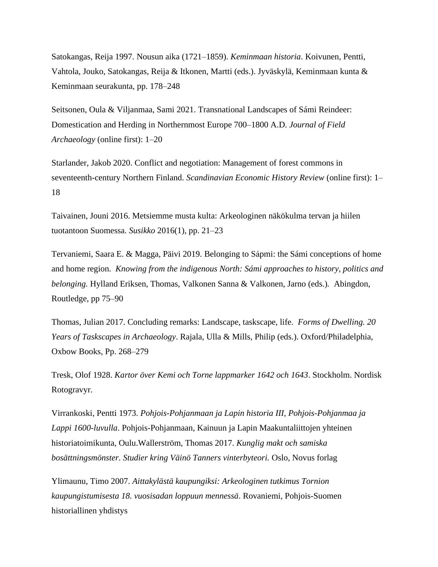Satokangas, Reija 1997. Nousun aika (1721–1859). *Keminmaan historia*. Koivunen, Pentti, Vahtola, Jouko, Satokangas, Reija & Itkonen, Martti (eds.). Jyväskylä, Keminmaan kunta & Keminmaan seurakunta, pp. 178–248

Seitsonen, Oula & Viljanmaa, Sami 2021. Transnational Landscapes of Sámi Reindeer: Domestication and Herding in Northernmost Europe 700–1800 A.D. *Journal of Field Archaeology* (online first): 1–20

Starlander, Jakob 2020. Conflict and negotiation: Management of forest commons in seventeenth-century Northern Finland. *Scandinavian Economic History Review* (online first): 1– 18

Taivainen, Jouni 2016. Metsiemme musta kulta: Arkeologinen näkökulma tervan ja hiilen tuotantoon Suomessa. *Susikko* 2016(1), pp. 21–23

Tervaniemi, Saara E. & Magga, Päivi 2019. Belonging to Sápmi: the Sámi conceptions of home and home region. *Knowing from the indigenous North: Sámi approaches to history, politics and belonging.* Hylland Eriksen, Thomas, Valkonen Sanna & Valkonen, Jarno (eds.)*.* Abingdon, Routledge, pp 75–90

Thomas, Julian 2017. Concluding remarks: Landscape, taskscape, life. *Forms of Dwelling. 20 Years of Taskscapes in Archaeology*. Rajala, Ulla & Mills, Philip (eds.). Oxford/Philadelphia, Oxbow Books, Pp. 268–279

Tresk, Olof 1928. *Kartor över Kemi och Torne lappmarker 1642 och 1643*. Stockholm. Nordisk Rotogravyr.

Virrankoski, Pentti 1973. *Pohjois-Pohjanmaan ja Lapin historia III, Pohjois-Pohjanmaa ja Lappi 1600-luvulla*. Pohjois-Pohjanmaan, Kainuun ja Lapin Maakuntaliittojen yhteinen historiatoimikunta, Oulu.Wallerström, Thomas 2017. *Kunglig makt och samiska bosättningsmönster. Studier kring Väinö Tanners vinterbyteori.* Oslo, Novus forlag

Ylimaunu, Timo 2007. *Aittakylästä kaupungiksi: Arkeologinen tutkimus Tornion kaupungistumisesta 18. vuosisadan loppuun mennessä*. Rovaniemi, Pohjois-Suomen historiallinen yhdistys